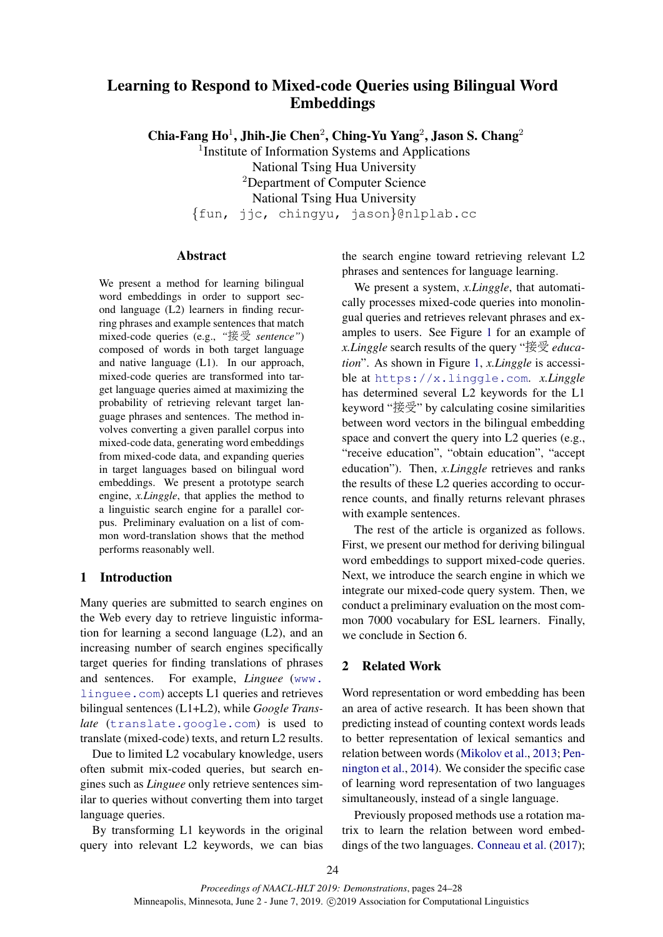# Learning to Respond to Mixed-code Queries using Bilingual Word Embeddings

Chia-Fang Ho<sup>1</sup>, Jhih-Jie Chen<sup>2</sup>, Ching-Yu Yang<sup>2</sup>, Jason S. Chang<sup>2</sup>

<sup>1</sup>Institute of Information Systems and Applications National Tsing Hua University <sup>2</sup>Department of Computer Science National Tsing Hua University

{fun, jjc, chingyu, jason}@nlplab.cc

# Abstract

We present a method for learning bilingual word embeddings in order to support second language (L2) learners in finding recurring phrases and example sentences that match mixed-code queries (e.g., *"*接受 *sentence"*) composed of words in both target language and native language (L1). In our approach, mixed-code queries are transformed into target language queries aimed at maximizing the probability of retrieving relevant target language phrases and sentences. The method involves converting a given parallel corpus into mixed-code data, generating word embeddings from mixed-code data, and expanding queries in target languages based on bilingual word embeddings. We present a prototype search engine, *x.Linggle*, that applies the method to a linguistic search engine for a parallel corpus. Preliminary evaluation on a list of common word-translation shows that the method performs reasonably well.

# 1 Introduction

Many queries are submitted to search engines on the Web every day to retrieve linguistic information for learning a second language (L2), and an increasing number of search engines specifically target queries for finding translations of phrases and sentences. For example, *Linguee* ([www.](www.linguee.com) [linguee.com](www.linguee.com)) accepts L1 queries and retrieves bilingual sentences (L1+L2), while *Google Translate* (<translate.google.com>) is used to translate (mixed-code) texts, and return L2 results.

Due to limited L2 vocabulary knowledge, users often submit mix-coded queries, but search engines such as *Linguee* only retrieve sentences similar to queries without converting them into target language queries.

By transforming L1 keywords in the original query into relevant L2 keywords, we can bias the search engine toward retrieving relevant L2 phrases and sentences for language learning.

We present a system, *x.Linggle*, that automatically processes mixed-code queries into monolingual queries and retrieves relevant phrases and examples to users. See Figure [1](#page-1-0) for an example of *x.Linggle* search results of the query "接受 *education*". As shown in Figure [1,](#page-1-0) *x.Linggle* is accessible at <https://x.linggle.com>. *x.Linggle* has determined several L2 keywords for the L1 keyword "接受" by calculating cosine similarities between word vectors in the bilingual embedding space and convert the query into L2 queries (e.g., "receive education", "obtain education", "accept education"). Then, *x.Linggle* retrieves and ranks the results of these L2 queries according to occurrence counts, and finally returns relevant phrases with example sentences.

The rest of the article is organized as follows. First, we present our method for deriving bilingual word embeddings to support mixed-code queries. Next, we introduce the search engine in which we integrate our mixed-code query system. Then, we conduct a preliminary evaluation on the most common 7000 vocabulary for ESL learners. Finally, we conclude in Section 6.

# 2 Related Work

Word representation or word embedding has been an area of active research. It has been shown that predicting instead of counting context words leads to better representation of lexical semantics and relation between words [\(Mikolov et al.,](#page-4-0) [2013;](#page-4-0) [Pen](#page-4-1)[nington et al.,](#page-4-1) [2014\)](#page-4-1). We consider the specific case of learning word representation of two languages simultaneously, instead of a single language.

Previously proposed methods use a rotation matrix to learn the relation between word embeddings of the two languages. [Conneau et al.](#page-4-2) [\(2017\)](#page-4-2);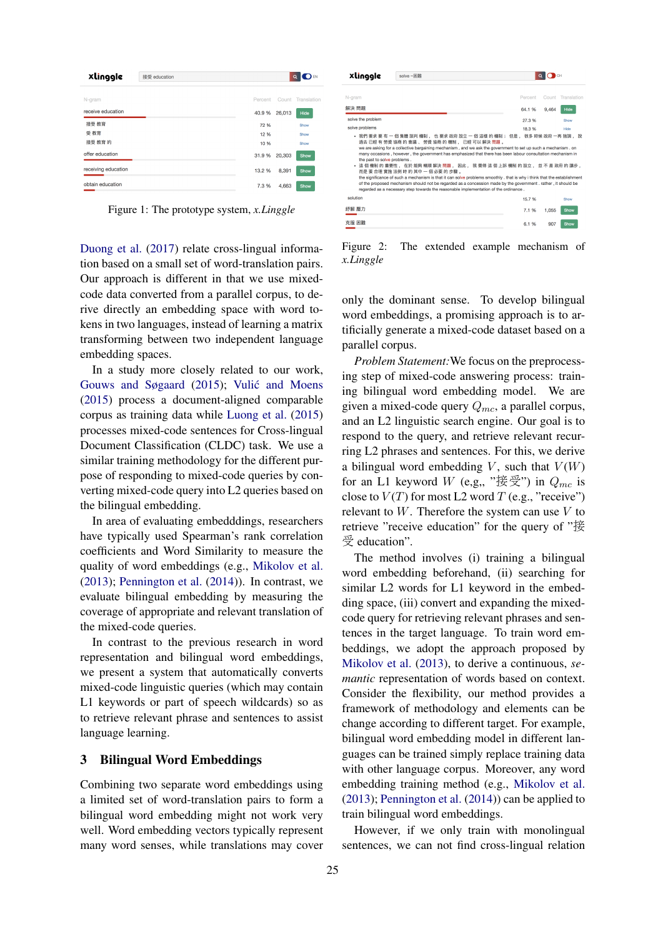<span id="page-1-0"></span>

| xlinggle<br>接受 education |         |        | EN<br>$\alpha$    |
|--------------------------|---------|--------|-------------------|
| N-gram                   | Percent |        | Count Translation |
| receive education        | 40.9%   | 26,013 | Hide              |
| 接受 教育                    | 72 %    |        | Show              |
| 受教育                      | 12 %    |        | Show              |
| 接受 教育的                   | 10 %    |        | Show              |
| offer education          | 31.9 %  | 20,303 | Show              |
| receiving education      | 13.2 %  | 8,391  | Show              |
| obtain education         | 7.3 %   | 4,663  | Show              |

Figure 1: The prototype system, *x.Linggle*

[Duong et al.](#page-4-3) [\(2017\)](#page-4-3) relate cross-lingual information based on a small set of word-translation pairs. Our approach is different in that we use mixedcode data converted from a parallel corpus, to derive directly an embedding space with word tokens in two languages, instead of learning a matrix transforming between two independent language embedding spaces.

In a study more closely related to our work, [Gouws and Søgaard](#page-4-4) [\(2015\)](#page-4-4); Vulić and Moens [\(2015\)](#page-4-5) process a document-aligned comparable corpus as training data while [Luong et al.](#page-4-6) [\(2015\)](#page-4-6) processes mixed-code sentences for Cross-lingual Document Classification (CLDC) task. We use a similar training methodology for the different purpose of responding to mixed-code queries by converting mixed-code query into L2 queries based on the bilingual embedding.

In area of evaluating embedddings, researchers have typically used Spearman's rank correlation coefficients and Word Similarity to measure the quality of word embeddings (e.g., [Mikolov et al.](#page-4-0) [\(2013\)](#page-4-0); [Pennington et al.](#page-4-1) [\(2014\)](#page-4-1)). In contrast, we evaluate bilingual embedding by measuring the coverage of appropriate and relevant translation of the mixed-code queries.

In contrast to the previous research in word representation and bilingual word embeddings, we present a system that automatically converts mixed-code linguistic queries (which may contain L1 keywords or part of speech wildcards) so as to retrieve relevant phrase and sentences to assist language learning.

# 3 Bilingual Word Embeddings

Combining two separate word embeddings using a limited set of word-translation pairs to form a bilingual word embedding might not work very well. Word embedding vectors typically represent many word senses, while translations may cover

<span id="page-1-1"></span>

| xlinggle                                                                                                                                                                                                                                                                                                                                                                                                                                                                                                                                                                                                                                                                                                                                                                                                                                              | solve ~困難 |                  |                |                     |  |
|-------------------------------------------------------------------------------------------------------------------------------------------------------------------------------------------------------------------------------------------------------------------------------------------------------------------------------------------------------------------------------------------------------------------------------------------------------------------------------------------------------------------------------------------------------------------------------------------------------------------------------------------------------------------------------------------------------------------------------------------------------------------------------------------------------------------------------------------------------|-----------|------------------|----------------|---------------------|--|
| N-gram<br>解決 問題                                                                                                                                                                                                                                                                                                                                                                                                                                                                                                                                                                                                                                                                                                                                                                                                                                       |           | Percent<br>64.1% | Count<br>9.464 | Translation<br>Hide |  |
| solve the problem<br>solve problems                                                                                                                                                                                                                                                                                                                                                                                                                                                                                                                                                                                                                                                                                                                                                                                                                   |           | 27.3%<br>18.3%   |                | Show<br>Hide        |  |
| • 我們 要求 要 有 一 個 集體 談判 機制 , 也 要求 政府 設立 一 個 這樣 的 機制; 但是 , 很多 時候 政府 一再 強調 , 說<br>過去 已經 有 勞資 協商 的 會議 、 勞資 協商 的 機制 、 已經 可以 解決 問題 。<br>we are asking for a collective bargaining mechanism, and we ask the government to set up such a mechanism. on<br>many occasions, however, the government has emphasized that there has been labour consultation mechanism in<br>the past to solve problems.<br>這 個 機制 的 重要性 , 在於 能夠 暢順 解決 問題 , 因此 , 我 覺得 這 個 上訴 機制 的 設立 , 並 不 是 政府 的 讓步 ,<br>而是 要 合理 實施 法例 時 的 其中 一 個 必要 的 步驟 。<br>the significance of such a mechanism is that it can solve problems smoothly . that is why i think that the establishment<br>of the proposed mechanism should not be regarded as a concession made by the government, rather, it should be<br>regarded as a necessary step towards the reasonable implementation of the ordinance. |           |                  |                |                     |  |
| solution                                                                                                                                                                                                                                                                                                                                                                                                                                                                                                                                                                                                                                                                                                                                                                                                                                              |           | 15.7%            |                | Show                |  |
| 紓解 壓力                                                                                                                                                                                                                                                                                                                                                                                                                                                                                                                                                                                                                                                                                                                                                                                                                                                 |           | 7.1%             | 1.055          | Show                |  |
| 克服 困難                                                                                                                                                                                                                                                                                                                                                                                                                                                                                                                                                                                                                                                                                                                                                                                                                                                 |           | 6.1%             | 907            | Show                |  |

Figure 2: The extended example mechanism of *x.Linggle*

only the dominant sense. To develop bilingual word embeddings, a promising approach is to artificially generate a mixed-code dataset based on a parallel corpus.

*Problem Statement:*We focus on the preprocessing step of mixed-code answering process: training bilingual word embedding model. We are given a mixed-code query  $Q_{mc}$ , a parallel corpus, and an L2 linguistic search engine. Our goal is to respond to the query, and retrieve relevant recurring L2 phrases and sentences. For this, we derive a bilingual word embedding  $V$ , such that  $V(W)$ for an L1 keyword W (e,g,, "接受") in  $Q_{mc}$  is close to  $V(T)$  for most L2 word T (e.g., "receive") relevant to  $W$ . Therefore the system can use  $V$  to retrieve "receive education" for the query of "接 受 education".

The method involves (i) training a bilingual word embedding beforehand, (ii) searching for similar L2 words for L1 keyword in the embedding space, (iii) convert and expanding the mixedcode query for retrieving relevant phrases and sentences in the target language. To train word embeddings, we adopt the approach proposed by [Mikolov et al.](#page-4-0) [\(2013\)](#page-4-0), to derive a continuous, *semantic* representation of words based on context. Consider the flexibility, our method provides a framework of methodology and elements can be change according to different target. For example, bilingual word embedding model in different languages can be trained simply replace training data with other language corpus. Moreover, any word embedding training method (e.g., [Mikolov et al.](#page-4-0) [\(2013\)](#page-4-0); [Pennington et al.](#page-4-1) [\(2014\)](#page-4-1)) can be applied to train bilingual word embeddings.

However, if we only train with monolingual sentences, we can not find cross-lingual relation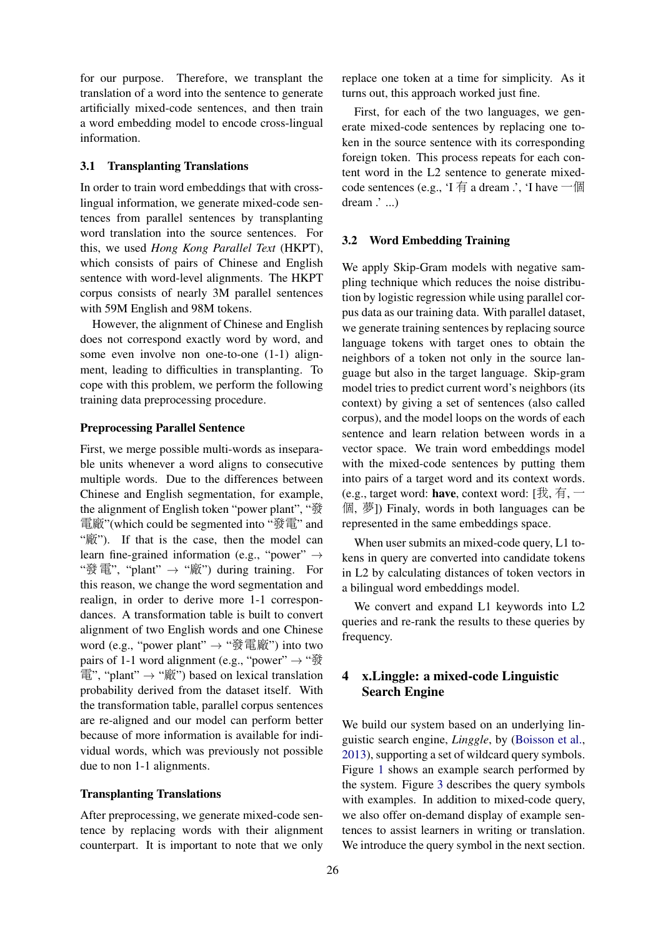for our purpose. Therefore, we transplant the translation of a word into the sentence to generate artificially mixed-code sentences, and then train a word embedding model to encode cross-lingual information.

### 3.1 Transplanting Translations

In order to train word embeddings that with crosslingual information, we generate mixed-code sentences from parallel sentences by transplanting word translation into the source sentences. For this, we used *Hong Kong Parallel Text* (HKPT), which consists of pairs of Chinese and English sentence with word-level alignments. The HKPT corpus consists of nearly 3M parallel sentences with 59M English and 98M tokens.

However, the alignment of Chinese and English does not correspond exactly word by word, and some even involve non one-to-one (1-1) alignment, leading to difficulties in transplanting. To cope with this problem, we perform the following training data preprocessing procedure.

#### Preprocessing Parallel Sentence

First, we merge possible multi-words as inseparable units whenever a word aligns to consecutive multiple words. Due to the differences between Chinese and English segmentation, for example, the alignment of English token "power plant", "發 <sup>電</sup>廠"(which could be segmented into "發電" and "廠"). If that is the case, then the model can learn fine-grained information (e.g., "power"  $\rightarrow$ "發電", "plant"  $\rightarrow$  "廠") during training. For this reason, we change the word segmentation and realign, in order to derive more 1-1 correspondances. A transformation table is built to convert alignment of two English words and one Chinese word (e.g., "power plant"  $\rightarrow$  "發電廠") into two pairs of 1-1 word alignment (e.g., "power"  $\rightarrow$  " $\mathcal{B}$ ) 電", "plant" → "廠") based on lexical translation probability derived from the dataset itself. With the transformation table, parallel corpus sentences are re-aligned and our model can perform better because of more information is available for individual words, which was previously not possible due to non 1-1 alignments.

### Transplanting Translations

After preprocessing, we generate mixed-code sentence by replacing words with their alignment counterpart. It is important to note that we only

replace one token at a time for simplicity. As it turns out, this approach worked just fine.

First, for each of the two languages, we generate mixed-code sentences by replacing one token in the source sentence with its corresponding foreign token. This process repeats for each content word in the L2 sentence to generate mixedcode sentences (e.g., 'I  $\dagger$  a dream .', 'I have  $-\text{f}$ dream  $\therefore$  ...)

#### 3.2 Word Embedding Training

We apply Skip-Gram models with negative sampling technique which reduces the noise distribution by logistic regression while using parallel corpus data as our training data. With parallel dataset, we generate training sentences by replacing source language tokens with target ones to obtain the neighbors of a token not only in the source language but also in the target language. Skip-gram model tries to predict current word's neighbors (its context) by giving a set of sentences (also called corpus), and the model loops on the words of each sentence and learn relation between words in a vector space. We train word embeddings model with the mixed-code sentences by putting them into pairs of a target word and its context words. (e.g., target word: have, context word: [我, 有,  $-$ <sup>個</sup>, 夢]) Finaly, words in both languages can be represented in the same embeddings space.

When user submits an mixed-code query, L1 tokens in query are converted into candidate tokens in L2 by calculating distances of token vectors in a bilingual word embeddings model.

We convert and expand L1 keywords into L2 queries and re-rank the results to these queries by frequency.

# 4 x.Linggle: a mixed-code Linguistic Search Engine

We build our system based on an underlying linguistic search engine, *Linggle*, by [\(Boisson et al.,](#page-3-0) [2013\)](#page-3-0), supporting a set of wildcard query symbols. Figure [1](#page-1-0) shows an example search performed by the system. Figure [3](#page-3-1) describes the query symbols with examples. In addition to mixed-code query, we also offer on-demand display of example sentences to assist learners in writing or translation. We introduce the query symbol in the next section.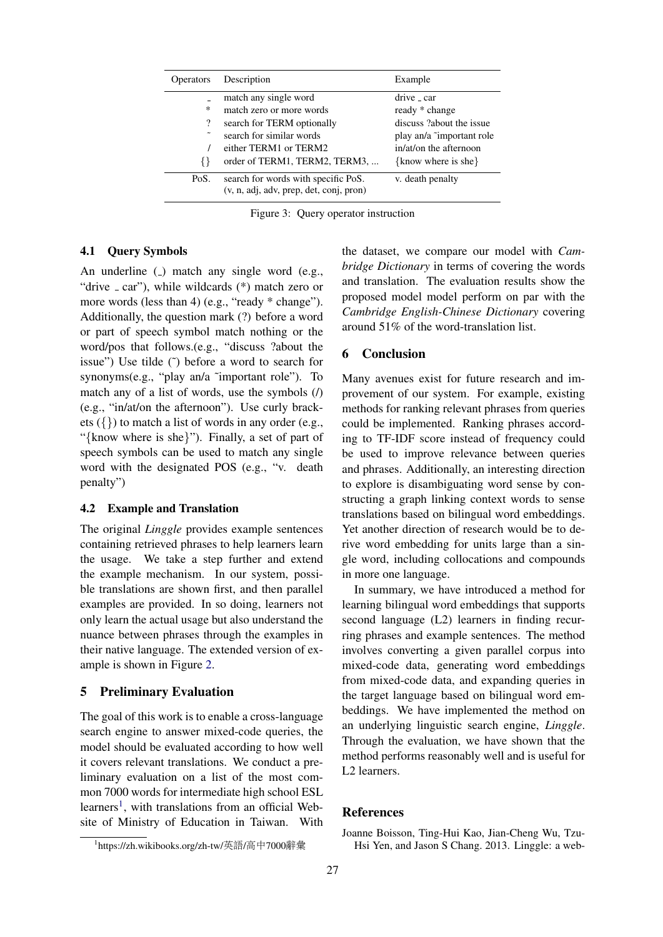<span id="page-3-1"></span>

| <b>Operators</b> | Description                                                                    | Example                     |
|------------------|--------------------------------------------------------------------------------|-----------------------------|
|                  | match any single word                                                          | drive _ car                 |
| $\ast$           | match zero or more words                                                       | ready * change              |
| ?                | search for TERM optionally                                                     | discuss ?about the issue    |
|                  | search for similar words                                                       | play an/a "important role"  |
|                  | either TERM1 or TERM2                                                          | in/at/on the afternoon      |
| ∤∤               | order of TERM1, TERM2, TERM3,                                                  | $\{$ know where is she $\}$ |
| PoS.             | search for words with specific PoS.<br>(v, n, adj, adv, prep, det, conj, pron) | v. death penalty            |

Figure 3: Query operator instruction

### 4.1 Query Symbols

An underline  $\Box$  match any single word  $(e.g.,)$ "drive  $\angle$  car"), while wildcards (\*) match zero or more words (less than 4) (e.g., "ready \* change"). Additionally, the question mark (?) before a word or part of speech symbol match nothing or the word/pos that follows.(e.g., "discuss ?about the issue") Use tilde (˜) before a word to search for synonyms(e.g., "play an/a ˜important role"). To match any of a list of words, use the symbols (/) (e.g., "in/at/on the afternoon"). Use curly brackets ({}) to match a list of words in any order (e.g., "{know where is she}"). Finally, a set of part of speech symbols can be used to match any single word with the designated POS (e.g., "v. death penalty")

### 4.2 Example and Translation

The original *Linggle* provides example sentences containing retrieved phrases to help learners learn the usage. We take a step further and extend the example mechanism. In our system, possible translations are shown first, and then parallel examples are provided. In so doing, learners not only learn the actual usage but also understand the nuance between phrases through the examples in their native language. The extended version of example is shown in Figure [2.](#page-1-1)

### 5 Preliminary Evaluation

The goal of this work is to enable a cross-language search engine to answer mixed-code queries, the model should be evaluated according to how well it covers relevant translations. We conduct a preliminary evaluation on a list of the most common 7000 words for intermediate high school ESL learners<sup>[1](#page-3-2)</sup>, with translations from an official Website of Ministry of Education in Taiwan. With the dataset, we compare our model with *Cambridge Dictionary* in terms of covering the words and translation. The evaluation results show the proposed model model perform on par with the *Cambridge English-Chinese Dictionary* covering around 51% of the word-translation list.

### 6 Conclusion

Many avenues exist for future research and improvement of our system. For example, existing methods for ranking relevant phrases from queries could be implemented. Ranking phrases according to TF-IDF score instead of frequency could be used to improve relevance between queries and phrases. Additionally, an interesting direction to explore is disambiguating word sense by constructing a graph linking context words to sense translations based on bilingual word embeddings. Yet another direction of research would be to derive word embedding for units large than a single word, including collocations and compounds in more one language.

In summary, we have introduced a method for learning bilingual word embeddings that supports second language (L2) learners in finding recurring phrases and example sentences. The method involves converting a given parallel corpus into mixed-code data, generating word embeddings from mixed-code data, and expanding queries in the target language based on bilingual word embeddings. We have implemented the method on an underlying linguistic search engine, *Linggle*. Through the evaluation, we have shown that the method performs reasonably well and is useful for L2 learners.

# References

<span id="page-3-2"></span><sup>&</sup>lt;sup>1</sup>https://zh.wikibooks.org/zh-tw/英語/高中7000辭彙

<span id="page-3-0"></span>Joanne Boisson, Ting-Hui Kao, Jian-Cheng Wu, Tzu-Hsi Yen, and Jason S Chang. 2013. Linggle: a web-